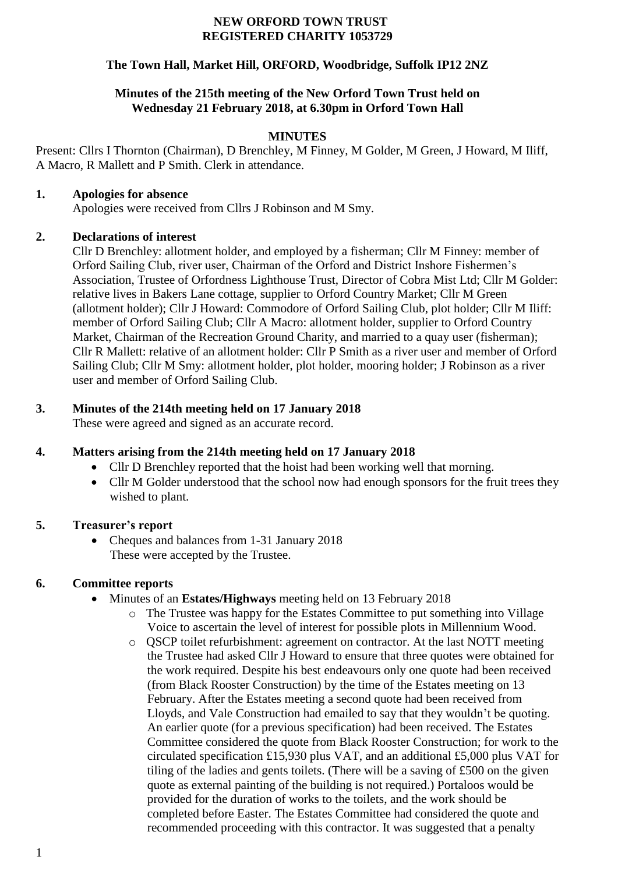#### **NEW ORFORD TOWN TRUST REGISTERED CHARITY 1053729**

## **The Town Hall, Market Hill, ORFORD, Woodbridge, Suffolk IP12 2NZ**

### **Minutes of the 215th meeting of the New Orford Town Trust held on Wednesday 21 February 2018, at 6.30pm in Orford Town Hall**

# **MINUTES**

Present: Cllrs I Thornton (Chairman), D Brenchley, M Finney, M Golder, M Green, J Howard, M Iliff, A Macro, R Mallett and P Smith. Clerk in attendance.

#### **1. Apologies for absence**

Apologies were received from Cllrs J Robinson and M Smy.

### **2. Declarations of interest**

Cllr D Brenchley: allotment holder, and employed by a fisherman; Cllr M Finney: member of Orford Sailing Club, river user, Chairman of the Orford and District Inshore Fishermen's Association, Trustee of Orfordness Lighthouse Trust, Director of Cobra Mist Ltd; Cllr M Golder: relative lives in Bakers Lane cottage, supplier to Orford Country Market; Cllr M Green (allotment holder); Cllr J Howard: Commodore of Orford Sailing Club, plot holder; Cllr M Iliff: member of Orford Sailing Club; Cllr A Macro: allotment holder, supplier to Orford Country Market, Chairman of the Recreation Ground Charity, and married to a quay user (fisherman); Cllr R Mallett: relative of an allotment holder: Cllr P Smith as a river user and member of Orford Sailing Club; Cllr M Smy: allotment holder, plot holder, mooring holder; J Robinson as a river user and member of Orford Sailing Club.

### **3. Minutes of the 214th meeting held on 17 January 2018**

These were agreed and signed as an accurate record.

# **4. Matters arising from the 214th meeting held on 17 January 2018**

- Cllr D Brenchley reported that the hoist had been working well that morning.
- Cllr M Golder understood that the school now had enough sponsors for the fruit trees they wished to plant.

### **5. Treasurer's report**

• Cheques and balances from 1-31 January 2018 These were accepted by the Trustee.

### **6. Committee reports**

- Minutes of an **Estates/Highways** meeting held on 13 February 2018
	- o The Trustee was happy for the Estates Committee to put something into Village Voice to ascertain the level of interest for possible plots in Millennium Wood.
	- o QSCP toilet refurbishment: agreement on contractor. At the last NOTT meeting the Trustee had asked Cllr J Howard to ensure that three quotes were obtained for the work required. Despite his best endeavours only one quote had been received (from Black Rooster Construction) by the time of the Estates meeting on 13 February. After the Estates meeting a second quote had been received from Lloyds, and Vale Construction had emailed to say that they wouldn't be quoting. An earlier quote (for a previous specification) had been received. The Estates Committee considered the quote from Black Rooster Construction; for work to the circulated specification £15,930 plus VAT, and an additional £5,000 plus VAT for tiling of the ladies and gents toilets. (There will be a saving of £500 on the given quote as external painting of the building is not required.) Portaloos would be provided for the duration of works to the toilets, and the work should be completed before Easter. The Estates Committee had considered the quote and recommended proceeding with this contractor. It was suggested that a penalty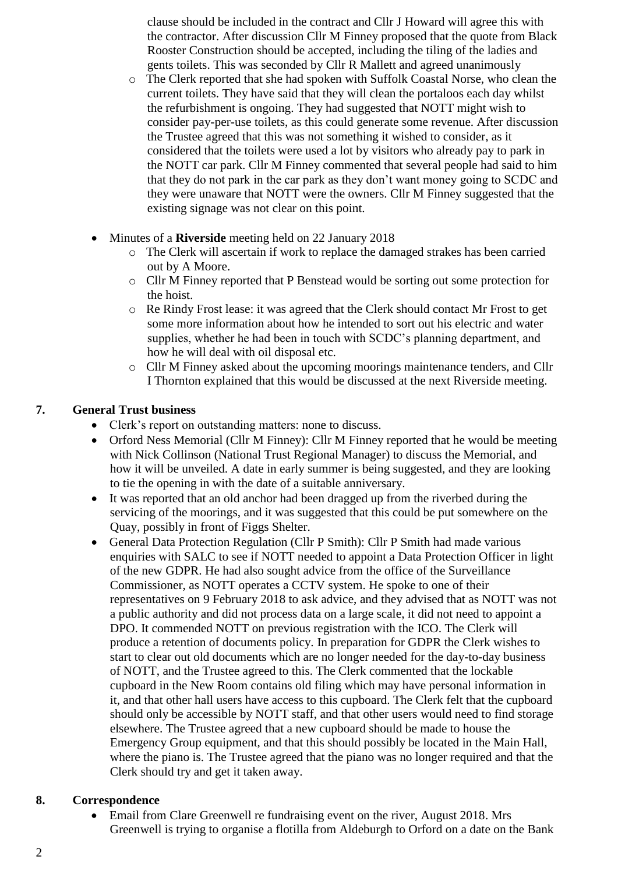clause should be included in the contract and Cllr J Howard will agree this with the contractor. After discussion Cllr M Finney proposed that the quote from Black Rooster Construction should be accepted, including the tiling of the ladies and gents toilets. This was seconded by Cllr R Mallett and agreed unanimously

- o The Clerk reported that she had spoken with Suffolk Coastal Norse, who clean the current toilets. They have said that they will clean the portaloos each day whilst the refurbishment is ongoing. They had suggested that NOTT might wish to consider pay-per-use toilets, as this could generate some revenue. After discussion the Trustee agreed that this was not something it wished to consider, as it considered that the toilets were used a lot by visitors who already pay to park in the NOTT car park. Cllr M Finney commented that several people had said to him that they do not park in the car park as they don't want money going to SCDC and they were unaware that NOTT were the owners. Cllr M Finney suggested that the existing signage was not clear on this point.
- Minutes of a **Riverside** meeting held on 22 January 2018
	- o The Clerk will ascertain if work to replace the damaged strakes has been carried out by A Moore.
	- o Cllr M Finney reported that P Benstead would be sorting out some protection for the hoist.
	- o Re Rindy Frost lease: it was agreed that the Clerk should contact Mr Frost to get some more information about how he intended to sort out his electric and water supplies, whether he had been in touch with SCDC's planning department, and how he will deal with oil disposal etc.
	- o Cllr M Finney asked about the upcoming moorings maintenance tenders, and Cllr I Thornton explained that this would be discussed at the next Riverside meeting.

# **7. General Trust business**

- Clerk's report on outstanding matters: none to discuss.
- Orford Ness Memorial (Cllr M Finney): Cllr M Finney reported that he would be meeting with Nick Collinson (National Trust Regional Manager) to discuss the Memorial, and how it will be unveiled. A date in early summer is being suggested, and they are looking to tie the opening in with the date of a suitable anniversary.
- It was reported that an old anchor had been dragged up from the riverbed during the servicing of the moorings, and it was suggested that this could be put somewhere on the Quay, possibly in front of Figgs Shelter.
- General Data Protection Regulation (Cllr P Smith): Cllr P Smith had made various enquiries with SALC to see if NOTT needed to appoint a Data Protection Officer in light of the new GDPR. He had also sought advice from the office of the Surveillance Commissioner, as NOTT operates a CCTV system. He spoke to one of their representatives on 9 February 2018 to ask advice, and they advised that as NOTT was not a public authority and did not process data on a large scale, it did not need to appoint a DPO. It commended NOTT on previous registration with the ICO. The Clerk will produce a retention of documents policy. In preparation for GDPR the Clerk wishes to start to clear out old documents which are no longer needed for the day-to-day business of NOTT, and the Trustee agreed to this. The Clerk commented that the lockable cupboard in the New Room contains old filing which may have personal information in it, and that other hall users have access to this cupboard. The Clerk felt that the cupboard should only be accessible by NOTT staff, and that other users would need to find storage elsewhere. The Trustee agreed that a new cupboard should be made to house the Emergency Group equipment, and that this should possibly be located in the Main Hall, where the piano is. The Trustee agreed that the piano was no longer required and that the Clerk should try and get it taken away.

### **8. Correspondence**

 Email from Clare Greenwell re fundraising event on the river, August 2018. Mrs Greenwell is trying to organise a flotilla from Aldeburgh to Orford on a date on the Bank